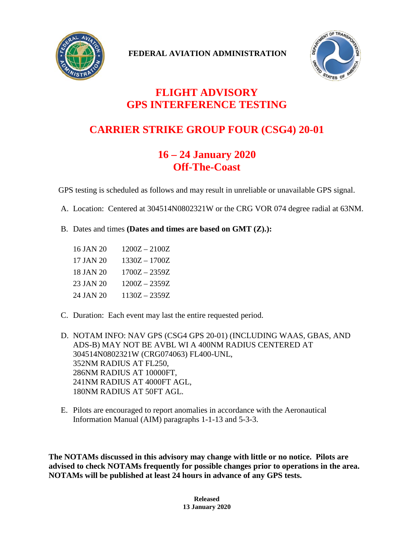

**FEDERAL AVIATION ADMINISTRATION**



## **FLIGHT ADVISORY GPS INTERFERENCE TESTING**

## **CARRIER STRIKE GROUP FOUR (CSG4) 20-01**

## **16 – 24 January 2020 Off-The-Coast**

GPS testing is scheduled as follows and may result in unreliable or unavailable GPS signal.

- A. Location: Centered at 304514N0802321W or the CRG VOR 074 degree radial at 63NM.
- B. Dates and times **(Dates and times are based on GMT (Z).):**
	- 16 JAN 20 1200Z 2100Z 17 JAN 20 1330Z – 1700Z 18 JAN 20 1700Z – 2359Z 23 JAN 20 1200Z – 2359Z 24 JAN 20 1130Z – 2359Z
- C. Duration: Each event may last the entire requested period.

D. NOTAM INFO: NAV GPS (CSG4 GPS 20-01) (INCLUDING WAAS, GBAS, AND ADS-B) MAY NOT BE AVBL WI A 400NM RADIUS CENTERED AT 304514N0802321W (CRG074063) FL400-UNL, 352NM RADIUS AT FL250, 286NM RADIUS AT 10000FT, 241NM RADIUS AT 4000FT AGL, 180NM RADIUS AT 50FT AGL.

E. Pilots are encouraged to report anomalies in accordance with the Aeronautical Information Manual (AIM) paragraphs 1-1-13 and 5-3-3.

**The NOTAMs discussed in this advisory may change with little or no notice. Pilots are advised to check NOTAMs frequently for possible changes prior to operations in the area. NOTAMs will be published at least 24 hours in advance of any GPS tests.**